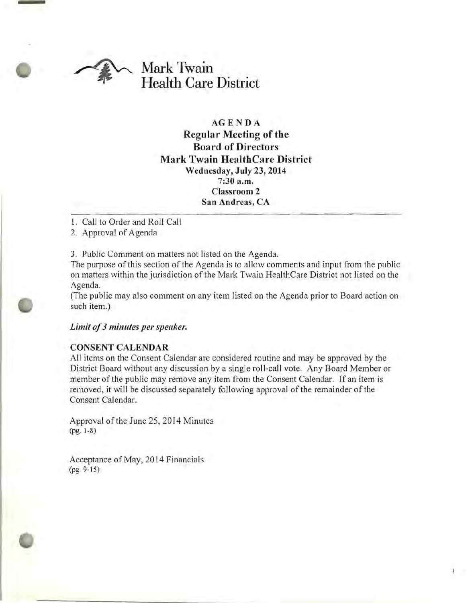

## AGENDA Regular Meeting of the Board of Directors Mark Twain HealthCare District Wednesday, July 23, 2014 7:30 a.m. Classroom 2 San Andreas, CA

- 1. Call to Order and Roll Call
- 2. Approval of Agenda

3. Public Comment on matters not listed on the Agenda.

The purpose of this section of the Agenda is to allow comments and input from the public on matters within the jurisdiction of the Mark Twain HealthCare District not listed on the Agenda.

(The public may also comment on any item listed on the Agenda prior to Board action on such item.)

### *Limit of*3 *minutes per speaker.*

### CONSENT CALENDAR

All items on the Consent Calendar are considered routine and may be approved by the District Board without any discussion by a single roll-call vote. Any Board Member or member of the public may remove any item from the Consent Calendar. If an item is removed, it will be discussed separately following approval of the remainder of the Consent Calendar.

Approval of the June 25, 2014 Minutes (pg. 1-8)

Acceptance of May, 2014 Financials (pg. 9-15)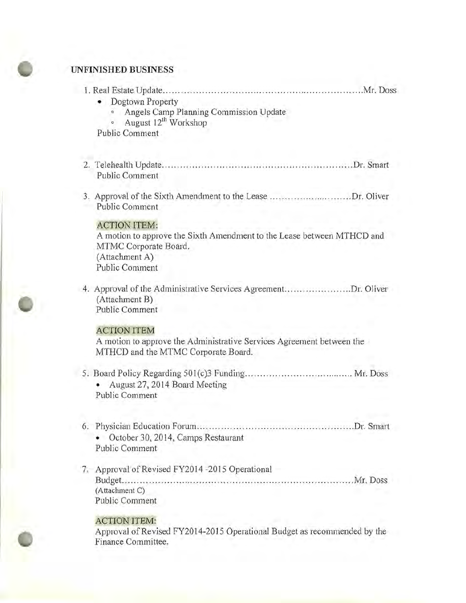# **UNFINISHED BUSINESS**

| Dogtown Property<br>Angels Camp Planning Commission Update<br>August 12 <sup>th</sup> Workshop<br><b>Public Comment</b>                    |  |
|--------------------------------------------------------------------------------------------------------------------------------------------|--|
| <b>Public Comment</b>                                                                                                                      |  |
| 3. Approval of the Sixth Amendment to the Lease Dr. Oliver<br><b>Public Comment</b><br><b>ACTION ITEM:</b>                                 |  |
| A motion to approve the Sixth Amendment to the Lease between MTHCD and<br>MTMC Corporate Board.<br>(Attachment A)<br><b>Public Comment</b> |  |
| 4. Approval of the Administrative Services AgreementDr. Oliver<br>(Attachment B)<br>Public Comment                                         |  |
| <b>ACTION ITEM</b><br>A motion to approve the Administrative Services Agreement between the<br>MTHCD and the MTMC Corporate Board.         |  |
| August 27, 2014 Board Meeting<br>Public Comment                                                                                            |  |
| October 30, 2014, Camps Restaurant<br>Public Comment                                                                                       |  |
| 7. Approval of Revised FY2014 -2015 Operational<br>(Attachment C)                                                                          |  |

### ACTION ITEM:

Public Comment

Approval of Revised FY2014-2015 Operational Budget as recommended by the Finance Committee.